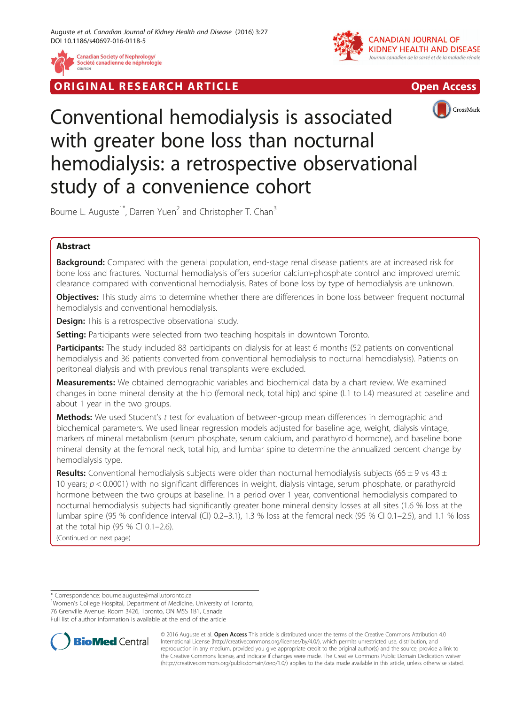

**Canadian Society of Nephrology/** Société canadienne de néphrologie

**RIGINAL RESEARCH ARTICLE CONSUMING ACCESS** 





# Conventional hemodialysis is associated with greater bone loss than nocturnal hemodialysis: a retrospective observational study of a convenience cohort

Bourne L. Auguste<sup>1\*</sup>, Darren Yuen<sup>2</sup> and Christopher T. Chan<sup>3</sup>

# Abstract

**Background:** Compared with the general population, end-stage renal disease patients are at increased risk for bone loss and fractures. Nocturnal hemodialysis offers superior calcium-phosphate control and improved uremic clearance compared with conventional hemodialysis. Rates of bone loss by type of hemodialysis are unknown.

Objectives: This study aims to determine whether there are differences in bone loss between frequent nocturnal hemodialysis and conventional hemodialysis.

**Design:** This is a retrospective observational study.

Setting: Participants were selected from two teaching hospitals in downtown Toronto.

Participants: The study included 88 participants on dialysis for at least 6 months (52 patients on conventional hemodialysis and 36 patients converted from conventional hemodialysis to nocturnal hemodialysis). Patients on peritoneal dialysis and with previous renal transplants were excluded.

Measurements: We obtained demographic variables and biochemical data by a chart review. We examined changes in bone mineral density at the hip (femoral neck, total hip) and spine (L1 to L4) measured at baseline and about 1 year in the two groups.

**Methods:** We used Student's t test for evaluation of between-group mean differences in demographic and biochemical parameters. We used linear regression models adjusted for baseline age, weight, dialysis vintage, markers of mineral metabolism (serum phosphate, serum calcium, and parathyroid hormone), and baseline bone mineral density at the femoral neck, total hip, and lumbar spine to determine the annualized percent change by hemodialysis type.

**Results:** Conventional hemodialysis subjects were older than nocturnal hemodialysis subjects (66  $\pm$  9 vs 43  $\pm$ 10 years; p < 0.0001) with no significant differences in weight, dialysis vintage, serum phosphate, or parathyroid hormone between the two groups at baseline. In a period over 1 year, conventional hemodialysis compared to nocturnal hemodialysis subjects had significantly greater bone mineral density losses at all sites (1.6 % loss at the lumbar spine (95 % confidence interval (CI) 0.2–3.1), 1.3 % loss at the femoral neck (95 % CI 0.1–2.5), and 1.1 % loss at the total hip (95 % CI 0.1–2.6).

(Continued on next page)

<sup>1</sup>Women's College Hospital, Department of Medicine, University of Toronto, 76 Grenville Avenue, Room 3426, Toronto, ON M5S 1B1, Canada

Full list of author information is available at the end of the article



© 2016 Auguste et al. Open Access This article is distributed under the terms of the Creative Commons Attribution 4.0 International License [\(http://creativecommons.org/licenses/by/4.0/](http://creativecommons.org/licenses/by/4.0/)), which permits unrestricted use, distribution, and reproduction in any medium, provided you give appropriate credit to the original author(s) and the source, provide a link to the Creative Commons license, and indicate if changes were made. The Creative Commons Public Domain Dedication waiver [\(http://creativecommons.org/publicdomain/zero/1.0/](http://creativecommons.org/publicdomain/zero/1.0/)) applies to the data made available in this article, unless otherwise stated.

<sup>\*</sup> Correspondence: [bourne.auguste@mail.utoronto.ca](mailto:bourne.auguste@mail.utoronto.ca) <sup>1</sup>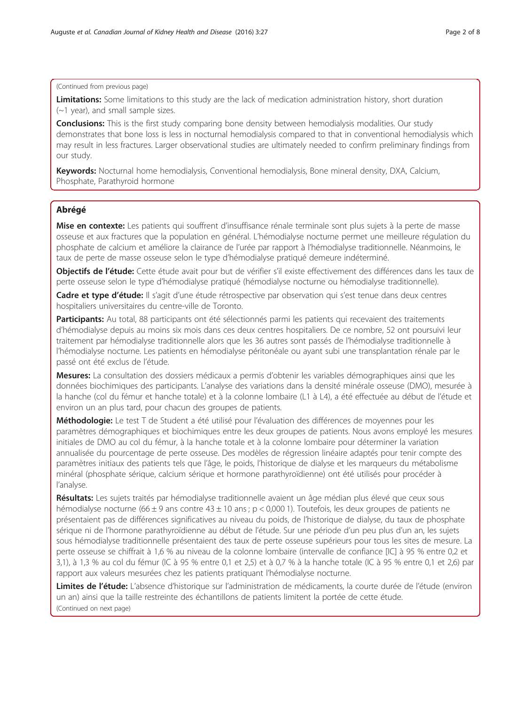# (Continued from previous page)

Limitations: Some limitations to this study are the lack of medication administration history, short duration (~1 year), and small sample sizes.

**Conclusions:** This is the first study comparing bone density between hemodialysis modalities. Our study demonstrates that bone loss is less in nocturnal hemodialysis compared to that in conventional hemodialysis which may result in less fractures. Larger observational studies are ultimately needed to confirm preliminary findings from our study.

Keywords: Nocturnal home hemodialysis, Conventional hemodialysis, Bone mineral density, DXA, Calcium, Phosphate, Parathyroid hormone

# Abrégé

Mise en contexte: Les patients qui souffrent d'insuffisance rénale terminale sont plus sujets à la perte de masse osseuse et aux fractures que la population en général. L'hémodialyse nocturne permet une meilleure régulation du phosphate de calcium et améliore la clairance de l'urée par rapport à l'hémodialyse traditionnelle. Néanmoins, le taux de perte de masse osseuse selon le type d'hémodialyse pratiqué demeure indéterminé.

Objectifs de l'étude: Cette étude avait pour but de vérifier s'il existe effectivement des différences dans les taux de perte osseuse selon le type d'hémodialyse pratiqué (hémodialyse nocturne ou hémodialyse traditionnelle).

Cadre et type d'étude: Il s'agit d'une étude rétrospective par observation qui s'est tenue dans deux centres hospitaliers universitaires du centre-ville de Toronto.

Participants: Au total, 88 participants ont été sélectionnés parmi les patients qui recevaient des traitements d'hémodialyse depuis au moins six mois dans ces deux centres hospitaliers. De ce nombre, 52 ont poursuivi leur traitement par hémodialyse traditionnelle alors que les 36 autres sont passés de l'hémodialyse traditionnelle à l'hémodialyse nocturne. Les patients en hémodialyse péritonéale ou ayant subi une transplantation rénale par le passé ont été exclus de l'étude.

Mesures: La consultation des dossiers médicaux a permis d'obtenir les variables démographiques ainsi que les données biochimiques des participants. L'analyse des variations dans la densité minérale osseuse (DMO), mesurée à la hanche (col du fémur et hanche totale) et à la colonne lombaire (L1 à L4), a été effectuée au début de l'étude et environ un an plus tard, pour chacun des groupes de patients.

Méthodologie: Le test T de Student a été utilisé pour l'évaluation des différences de moyennes pour les paramètres démographiques et biochimiques entre les deux groupes de patients. Nous avons employé les mesures initiales de DMO au col du fémur, à la hanche totale et à la colonne lombaire pour déterminer la variation annualisée du pourcentage de perte osseuse. Des modèles de régression linéaire adaptés pour tenir compte des paramètres initiaux des patients tels que l'âge, le poids, l'historique de dialyse et les marqueurs du métabolisme minéral (phosphate sérique, calcium sérique et hormone parathyroïdienne) ont été utilisés pour procéder à l'analyse.

Résultats: Les sujets traités par hémodialyse traditionnelle avaient un âge médian plus élevé que ceux sous hémodialyse nocturne (66 ± 9 ans contre 43 ± 10 ans ; p < 0,000 1). Toutefois, les deux groupes de patients ne présentaient pas de différences significatives au niveau du poids, de l'historique de dialyse, du taux de phosphate sérique ni de l'hormone parathyroïdienne au début de l'étude. Sur une période d'un peu plus d'un an, les sujets sous hémodialyse traditionnelle présentaient des taux de perte osseuse supérieurs pour tous les sites de mesure. La perte osseuse se chiffrait à 1,6 % au niveau de la colonne lombaire (intervalle de confiance [IC] à 95 % entre 0,2 et 3,1), à 1,3 % au col du fémur (IC à 95 % entre 0,1 et 2,5) et à 0,7 % à la hanche totale (IC à 95 % entre 0,1 et 2,6) par rapport aux valeurs mesurées chez les patients pratiquant l'hémodialyse nocturne.

Limites de l'étude: L'absence d'historique sur l'administration de médicaments, la courte durée de l'étude (environ un an) ainsi que la taille restreinte des échantillons de patients limitent la portée de cette étude. (Continued on next page)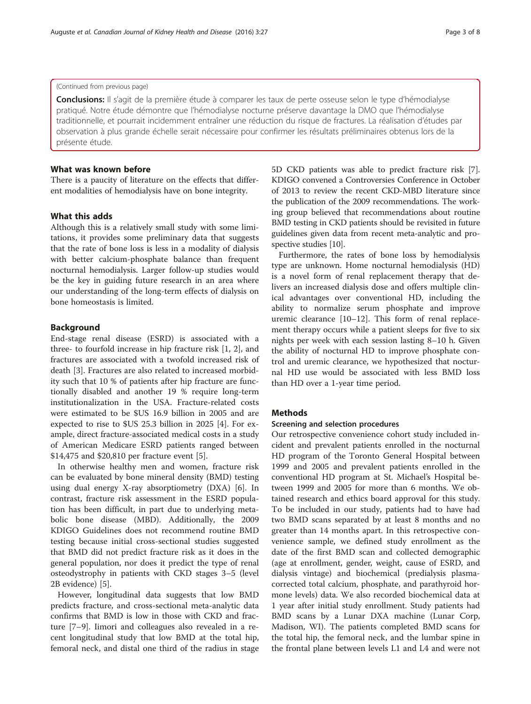# (Continued from previous page)

Conclusions: Il s'agit de la première étude à comparer les taux de perte osseuse selon le type d'hémodialyse pratiqué. Notre étude démontre que l'hémodialyse nocturne préserve davantage la DMO que l'hémodialyse traditionnelle, et pourrait incidemment entraîner une réduction du risque de fractures. La réalisation d'études par observation à plus grande échelle serait nécessaire pour confirmer les résultats préliminaires obtenus lors de la présente étude.

# What was known before

There is a paucity of literature on the effects that different modalities of hemodialysis have on bone integrity.

# What this adds

Although this is a relatively small study with some limitations, it provides some preliminary data that suggests that the rate of bone loss is less in a modality of dialysis with better calcium-phosphate balance than frequent nocturnal hemodialysis. Larger follow-up studies would be the key in guiding future research in an area where our understanding of the long-term effects of dialysis on bone homeostasis is limited.

## Background

End-stage renal disease (ESRD) is associated with a three- to fourfold increase in hip fracture risk [[1, 2\]](#page-6-0), and fractures are associated with a twofold increased risk of death [\[3](#page-6-0)]. Fractures are also related to increased morbidity such that 10 % of patients after hip fracture are functionally disabled and another 19 % require long-term institutionalization in the USA. Fracture-related costs were estimated to be \$US 16.9 billion in 2005 and are expected to rise to \$US 25.3 billion in 2025 [[4](#page-6-0)]. For example, direct fracture-associated medical costs in a study of American Medicare ESRD patients ranged between \$14,475 and \$20,810 per fracture event [[5\]](#page-6-0).

In otherwise healthy men and women, fracture risk can be evaluated by bone mineral density (BMD) testing using dual energy X-ray absorptiometry (DXA) [[6\]](#page-6-0). In contrast, fracture risk assessment in the ESRD population has been difficult, in part due to underlying metabolic bone disease (MBD). Additionally, the 2009 KDIGO Guidelines does not recommend routine BMD testing because initial cross-sectional studies suggested that BMD did not predict fracture risk as it does in the general population, nor does it predict the type of renal osteodystrophy in patients with CKD stages 3–5 (level 2B evidence) [\[5\]](#page-6-0).

However, longitudinal data suggests that low BMD predicts fracture, and cross-sectional meta-analytic data confirms that BMD is low in those with CKD and fracture [[7](#page-6-0)–[9](#page-6-0)]. Iimori and colleagues also revealed in a recent longitudinal study that low BMD at the total hip, femoral neck, and distal one third of the radius in stage 5D CKD patients was able to predict fracture risk [[7](#page-6-0)]. KDIGO convened a Controversies Conference in October of 2013 to review the recent CKD-MBD literature since the publication of the 2009 recommendations. The working group believed that recommendations about routine BMD testing in CKD patients should be revisited in future guidelines given data from recent meta-analytic and prospective studies [\[10](#page-6-0)].

Furthermore, the rates of bone loss by hemodialysis type are unknown. Home nocturnal hemodialysis (HD) is a novel form of renal replacement therapy that delivers an increased dialysis dose and offers multiple clinical advantages over conventional HD, including the ability to normalize serum phosphate and improve uremic clearance [\[10](#page-6-0)–[12\]](#page-6-0). This form of renal replacement therapy occurs while a patient sleeps for five to six nights per week with each session lasting 8–10 h. Given the ability of nocturnal HD to improve phosphate control and uremic clearance, we hypothesized that nocturnal HD use would be associated with less BMD loss than HD over a 1-year time period.

# **Methods**

## Screening and selection procedures

Our retrospective convenience cohort study included incident and prevalent patients enrolled in the nocturnal HD program of the Toronto General Hospital between 1999 and 2005 and prevalent patients enrolled in the conventional HD program at St. Michael's Hospital between 1999 and 2005 for more than 6 months. We obtained research and ethics board approval for this study. To be included in our study, patients had to have had two BMD scans separated by at least 8 months and no greater than 14 months apart. In this retrospective convenience sample, we defined study enrollment as the date of the first BMD scan and collected demographic (age at enrollment, gender, weight, cause of ESRD, and dialysis vintage) and biochemical (predialysis plasmacorrected total calcium, phosphate, and parathyroid hormone levels) data. We also recorded biochemical data at 1 year after initial study enrollment. Study patients had BMD scans by a Lunar DXA machine (Lunar Corp, Madison, WI). The patients completed BMD scans for the total hip, the femoral neck, and the lumbar spine in the frontal plane between levels L1 and L4 and were not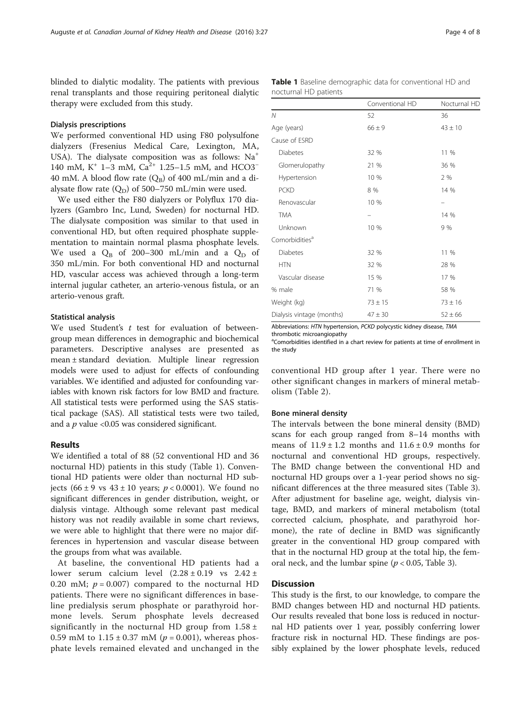<span id="page-3-0"></span>blinded to dialytic modality. The patients with previous renal transplants and those requiring peritoneal dialytic therapy were excluded from this study.

# Dialysis prescriptions

We performed conventional HD using F80 polysulfone dialyzers (Fresenius Medical Care, Lexington, MA, USA). The dialysate composition was as follows: Na<sup>+</sup> 140 mM, K<sup>+</sup> 1–3 mM, Ca<sup>2+</sup> 1.25–1.5 mM, and HCO3<sup>-</sup> 40 mM. A blood flow rate  $(Q_B)$  of 400 mL/min and a dialysate flow rate  $(Q_D)$  of 500–750 mL/min were used.

We used either the F80 dialyzers or Polyflux 170 dialyzers (Gambro Inc, Lund, Sweden) for nocturnal HD. The dialysate composition was similar to that used in conventional HD, but often required phosphate supplementation to maintain normal plasma phosphate levels. We used a  $Q_B$  of 200–300 mL/min and a  $Q_D$  of 350 mL/min. For both conventional HD and nocturnal HD, vascular access was achieved through a long-term internal jugular catheter, an arterio-venous fistula, or an arterio-venous graft.

## Statistical analysis

We used Student's t test for evaluation of betweengroup mean differences in demographic and biochemical parameters. Descriptive analyses are presented as mean ± standard deviation. Multiple linear regression models were used to adjust for effects of confounding variables. We identified and adjusted for confounding variables with known risk factors for low BMD and fracture. All statistical tests were performed using the SAS statistical package (SAS). All statistical tests were two tailed, and a  $p$  value <0.05 was considered significant.

#### Results

We identified a total of 88 (52 conventional HD and 36 nocturnal HD) patients in this study (Table 1). Conventional HD patients were older than nocturnal HD subjects (66  $\pm$  9 vs 43  $\pm$  10 years;  $p < 0.0001$ ). We found no significant differences in gender distribution, weight, or dialysis vintage. Although some relevant past medical history was not readily available in some chart reviews, we were able to highlight that there were no major differences in hypertension and vascular disease between the groups from what was available.

At baseline, the conventional HD patients had a lower serum calcium level  $(2.28 \pm 0.19 \text{ vs } 2.42 \pm 1)$ 0.20 mM;  $p = 0.007$ ) compared to the nocturnal HD patients. There were no significant differences in baseline predialysis serum phosphate or parathyroid hormone levels. Serum phosphate levels decreased significantly in the nocturnal HD group from  $1.58 \pm$ 0.59 mM to  $1.15 \pm 0.37$  mM ( $p = 0.001$ ), whereas phosphate levels remained elevated and unchanged in the

|                       | <b>Table 1</b> Baseline demographic data for conventional HD and |  |  |
|-----------------------|------------------------------------------------------------------|--|--|
| nocturnal HD patients |                                                                  |  |  |

|                            | Conventional HD | Nocturnal HD |
|----------------------------|-----------------|--------------|
| N                          | 52              | 36           |
| Age (years)                | $66 \pm 9$      | $43 \pm 10$  |
| Cause of ESRD              |                 |              |
| <b>Diabetes</b>            | 32 %            | 11 %         |
| Glomerulopathy             | 21 %            | 36 %         |
| Hypertension               | 10 %            | 2 %          |
| <b>PCKD</b>                | 8 %             | 14 %         |
| Renovascular               | 10 %            |              |
| <b>TMA</b>                 |                 | 14 %         |
| Unknown                    | 10 %            | 9%           |
| Comorbidities <sup>a</sup> |                 |              |
| Diabetes                   | 32 %            | 11 %         |
| <b>HTN</b>                 | 32 %            | 28 %         |
| Vascular disease           | 15 %            | 17 %         |
| % male                     | 71 %            | 58 %         |
| Weight (kg)                | $73 \pm 15$     | $73 \pm 16$  |
| Dialysis vintage (months)  | $47 \pm 30$     | $52 \pm 66$  |

Abbreviations: HTN hypertension, PCKD polycystic kidney disease, TMA thrombotic microangiopathy

<sup>a</sup>Comorbidities identified in a chart review for patients at time of enrollment in the study

conventional HD group after 1 year. There were no other significant changes in markers of mineral metabolism (Table [2](#page-4-0)).

## Bone mineral density

The intervals between the bone mineral density (BMD) scans for each group ranged from 8–14 months with means of  $11.9 \pm 1.2$  months and  $11.6 \pm 0.9$  months for nocturnal and conventional HD groups, respectively. The BMD change between the conventional HD and nocturnal HD groups over a 1-year period shows no significant differences at the three measured sites (Table [3](#page-5-0)). After adjustment for baseline age, weight, dialysis vintage, BMD, and markers of mineral metabolism (total corrected calcium, phosphate, and parathyroid hormone), the rate of decline in BMD was significantly greater in the conventional HD group compared with that in the nocturnal HD group at the total hip, the femoral neck, and the lumbar spine ( $p < 0.05$ , Table [3](#page-5-0)).

# **Discussion**

This study is the first, to our knowledge, to compare the BMD changes between HD and nocturnal HD patients. Our results revealed that bone loss is reduced in nocturnal HD patients over 1 year, possibly conferring lower fracture risk in nocturnal HD. These findings are possibly explained by the lower phosphate levels, reduced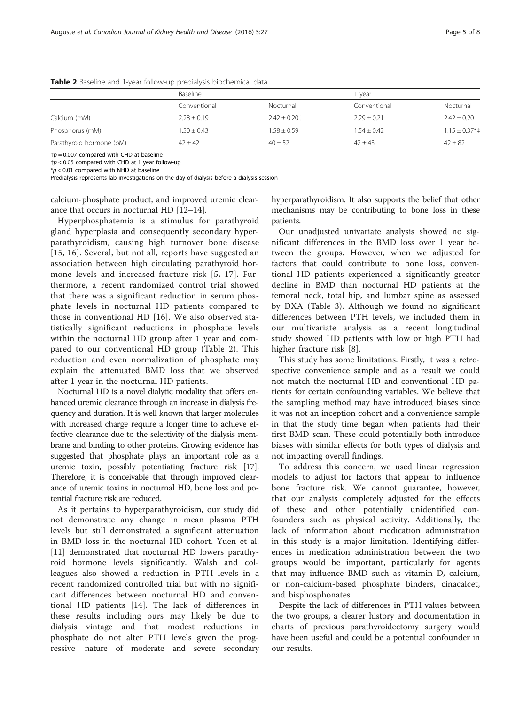|                          | Baseline        |                   | vear            |                              |  |
|--------------------------|-----------------|-------------------|-----------------|------------------------------|--|
|                          | Conventional    | Nocturnal         | Conventional    | Nocturnal                    |  |
| Calcium (mM)             | $2.28 \pm 0.19$ | $2.42 \pm 0.20$ t | $2.29 \pm 0.21$ | $2.42 \pm 0.20$              |  |
| Phosphorus (mM)          | $1.50 + 0.43$   | $.58 + 0.59$      | $1.54 + 0.42$   | $1.15 \pm 0.37$ <sup>*</sup> |  |
| Parathyroid hormone (pM) | $42 + 42$       | $40 + 52$         | $42 + 43$       | $42 + 82$                    |  |

<span id="page-4-0"></span>Table 2 Baseline and 1-year follow-up predialysis biochemical data

 $+p = 0.007$  compared with CHD at baseline

 $\mp p$  < 0.05 compared with CHD at 1 year follow-up

 $*p$  < 0.01 compared with NHD at baseline

Predialysis represents lab investigations on the day of dialysis before a dialysis session

calcium-phosphate product, and improved uremic clearance that occurs in nocturnal HD [\[12](#page-6-0)–[14\]](#page-6-0).

Hyperphosphatemia is a stimulus for parathyroid gland hyperplasia and consequently secondary hyperparathyroidism, causing high turnover bone disease [[15](#page-6-0), [16\]](#page-6-0). Several, but not all, reports have suggested an association between high circulating parathyroid hormone levels and increased fracture risk [[5](#page-6-0), [17](#page-6-0)]. Furthermore, a recent randomized control trial showed that there was a significant reduction in serum phosphate levels in nocturnal HD patients compared to those in conventional HD [\[16\]](#page-6-0). We also observed statistically significant reductions in phosphate levels within the nocturnal HD group after 1 year and compared to our conventional HD group (Table 2). This reduction and even normalization of phosphate may explain the attenuated BMD loss that we observed after 1 year in the nocturnal HD patients.

Nocturnal HD is a novel dialytic modality that offers enhanced uremic clearance through an increase in dialysis frequency and duration. It is well known that larger molecules with increased charge require a longer time to achieve effective clearance due to the selectivity of the dialysis membrane and binding to other proteins. Growing evidence has suggested that phosphate plays an important role as a uremic toxin, possibly potentiating fracture risk [\[17](#page-6-0)]. Therefore, it is conceivable that through improved clearance of uremic toxins in nocturnal HD, bone loss and potential fracture risk are reduced.

As it pertains to hyperparathyroidism, our study did not demonstrate any change in mean plasma PTH levels but still demonstrated a significant attenuation in BMD loss in the nocturnal HD cohort. Yuen et al. [[11\]](#page-6-0) demonstrated that nocturnal HD lowers parathyroid hormone levels significantly. Walsh and colleagues also showed a reduction in PTH levels in a recent randomized controlled trial but with no significant differences between nocturnal HD and conventional HD patients [[14](#page-6-0)]. The lack of differences in these results including ours may likely be due to dialysis vintage and that modest reductions in phosphate do not alter PTH levels given the progressive nature of moderate and severe secondary hyperparathyroidism. It also supports the belief that other mechanisms may be contributing to bone loss in these patients.

Our unadjusted univariate analysis showed no significant differences in the BMD loss over 1 year between the groups. However, when we adjusted for factors that could contribute to bone loss, conventional HD patients experienced a significantly greater decline in BMD than nocturnal HD patients at the femoral neck, total hip, and lumbar spine as assessed by DXA (Table [3\)](#page-5-0). Although we found no significant differences between PTH levels, we included them in our multivariate analysis as a recent longitudinal study showed HD patients with low or high PTH had higher fracture risk [[8](#page-6-0)].

This study has some limitations. Firstly, it was a retrospective convenience sample and as a result we could not match the nocturnal HD and conventional HD patients for certain confounding variables. We believe that the sampling method may have introduced biases since it was not an inception cohort and a convenience sample in that the study time began when patients had their first BMD scan. These could potentially both introduce biases with similar effects for both types of dialysis and not impacting overall findings.

To address this concern, we used linear regression models to adjust for factors that appear to influence bone fracture risk. We cannot guarantee, however, that our analysis completely adjusted for the effects of these and other potentially unidentified confounders such as physical activity. Additionally, the lack of information about medication administration in this study is a major limitation. Identifying differences in medication administration between the two groups would be important, particularly for agents that may influence BMD such as vitamin D, calcium, or non-calcium-based phosphate binders, cinacalcet, and bisphosphonates.

Despite the lack of differences in PTH values between the two groups, a clearer history and documentation in charts of previous parathyroidectomy surgery would have been useful and could be a potential confounder in our results.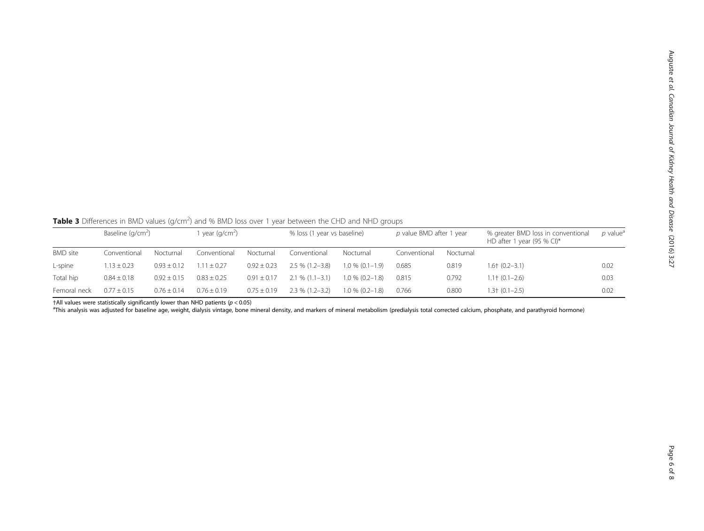<span id="page-5-0"></span>Table 3 Differences in BMD values (g/cm<sup>2</sup>) and % BMD loss over 1 year between the CHD and NHD groups

|                 | Baseline ( $q/cm2$ ) |                 | l year (g/cm <sup>2</sup> ) |                 | % loss (1 year vs baseline) |                   | p value BMD after 1 year |           | % greater BMD loss in conventional<br>HD after 1 year (95 % CI)* | $p$ value <sup>d</sup> |
|-----------------|----------------------|-----------------|-----------------------------|-----------------|-----------------------------|-------------------|--------------------------|-----------|------------------------------------------------------------------|------------------------|
| <b>BMD</b> site | Conventional         | Nocturnal       | Conventional                | Nocturnal       | Conventional                | Nocturnal         | Conventional             | Nocturnal |                                                                  |                        |
| L-spine         | $1.13 \pm 0.23$      | $0.93 \pm 0.12$ | $1.11 + 0.27$               | $0.92 \pm 0.23$ | $2.5\%$ (1.2–3.8)           | $1.0\%$ (0.1-1.9) | 0.685                    | 0.819     | $1.6$ $(0.2 - 3.1)$                                              | 0.02                   |
| Total hip       | $0.84 \pm 0.18$      | $0.92 \pm 0.15$ | $0.83 \pm 0.25$             | $0.91 \pm 0.17$ | $2.1\%$ (1.1–3.1)           | 1.0 % (0.2–1.8)   | 0.815                    | 0.792     | $1.1 + (0.1 - 2.6)$                                              | 0.03                   |
| Femoral neck    | $0.77 \pm 0.15$      | $0.76 \pm 0.14$ | $0.76 + 0.19$               | $0.75 \pm 0.19$ | $2.3\%$ (1.2–3.2)           | $1.0\%$ (0.2-1.8) | 0.766                    | 0.800     | $1.3 \pm (0.1 - 2.5)$                                            | 0.02                   |

 $+$ All values were statistically significantly lower than NHD patients ( $p$  < 0.05)

This analysis was adjusted for baseline age, weight, dialysis vintage, bone mineral density, and markers of mineral metabolism (predialysis total corrected calcium, phosphate, and parathyroid hormone)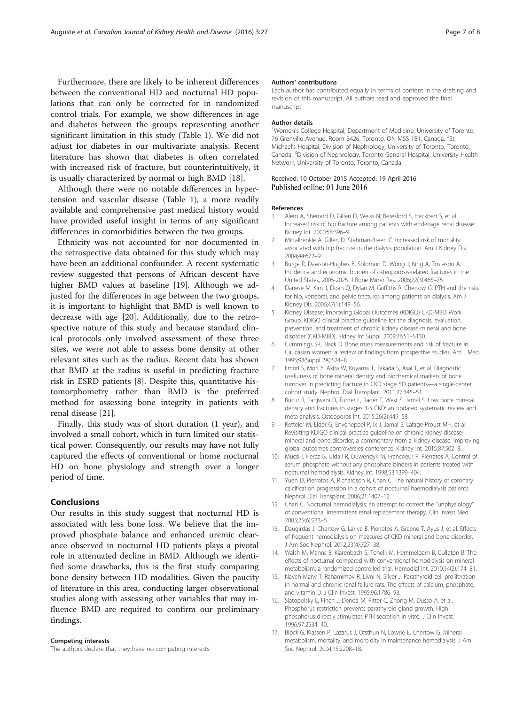<span id="page-6-0"></span>Furthermore, there are likely to be inherent differences between the conventional HD and nocturnal HD populations that can only be corrected for in randomized control trials. For example, we show differences in age and diabetes between the groups representing another significant limitation in this study (Table [1\)](#page-3-0). We did not adjust for diabetes in our multivariate analysis. Recent literature has shown that diabetes is often correlated with increased risk of fracture, but counterintuitively, it is usually characterized by normal or high BMD [[18\]](#page-7-0).

Although there were no notable differences in hypertension and vascular disease (Table [1\)](#page-3-0), a more readily available and comprehensive past medical history would have provided useful insight in terms of any significant differences in comorbidities between the two groups.

Ethnicity was not accounted for nor documented in the retrospective data obtained for this study which may have been an additional confounder. A recent systematic review suggested that persons of African descent have higher BMD values at baseline [[19\]](#page-7-0). Although we adjusted for the differences in age between the two groups, it is important to highlight that BMD is well known to decrease with age [\[20\]](#page-7-0). Additionally, due to the retrospective nature of this study and because standard clinical protocols only involved assessment of these three sites, we were not able to assess bone density at other relevant sites such as the radius. Recent data has shown that BMD at the radius is useful in predicting fracture risk in ESRD patients [8]. Despite this, quantitative histomorphometry rather than BMD is the preferred method for assessing bone integrity in patients with renal disease [[21\]](#page-7-0).

Finally, this study was of short duration (1 year), and involved a small cohort, which in turn limited our statistical power. Consequently, our results may have not fully captured the effects of conventional or home nocturnal HD on bone physiology and strength over a longer period of time.

## Conclusions

Our results in this study suggest that nocturnal HD is associated with less bone loss. We believe that the improved phosphate balance and enhanced uremic clearance observed in nocturnal HD patients plays a pivotal role in attenuated decline in BMD. Although we identified some drawbacks, this is the first study comparing bone density between HD modalities. Given the paucity of literature in this area, conducting larger observational studies along with assessing other variables that may influence BMD are required to confirm our preliminary findings.

#### Competing interests

The authors declare that they have no competing interests.

#### Authors' contributions

Each author has contributed equally in terms of content in the drafting and revision of this manuscript. All authors read and approved the final manuscript.

#### Author details

<sup>1</sup>Women's College Hospital, Department of Medicine, University of Toronto 76 Grenville Avenue, Room 3426, Toronto, ON M5S 1B1, Canada. <sup>2</sup>St Michael's Hospital, Division of Nephrology, University of Toronto, Toronto, Canada. <sup>3</sup> Division of Nephrology, Toronto General Hospital, University Health Network, University of Toronto, Toronto, Canada.

#### Received: 10 October 2015 Accepted: 19 April 2016 Published online: 01 June 2016

#### References

- 1. Alem A, Sherrard D, Gillen D, Weiss N, Beresford S, Heckbert S, et al. Increased risk of hip fracture among patients with end-stage renal disease. Kidney Int. 2000;58:396–9.
- 2. Mittalhenkle A, Gillen D, Stehman-Breen C, Increased risk of mortality associated with hip fracture in the dialysis population. Am J Kidney Dis. 2004;44:672–9.
- 3. Burge R, Dawson-Hughes B, Solomon D, Wong J, King A, Tosteson A. Incidence and economic burden of osteoporosis-related fractures in the United States, 2005-2025. J Bone Miner Res. 2006;22(3):465–75.
- 4. Danese M, Kim J, Doan Q, Dylan M, Griffiths R, Chertow G. PTH and the risks for hip, vertebral, and pelvic fractures among patients on dialysis. Am J Kidney Dis. 2006;47(1):149–56.
- 5. Kidney Disease: Improving Global Outcomes (KDIGO) CKD-MBD Work Group. KDIGO clinical practice guideline for the diagnosis, evaluation, prevention, and treatment of chronic kidney disease-mineral and bone disorder (CKD-MBD). Kidney Int Suppl. 2009;76:S1–S130.
- 6. Cummings SR, Black D. Bone mass measurements and risk of fracture in Caucasian women: a review of findings from prospective studies. Am J Med. 1995;98(Suppl 2A):S24–8.
- 7. Iimori S, Mori Y, Akita W, Kuyama T, Takada S, Asai T, et al. Diagnostic usefulness of bone mineral density and biochemical markers of bone turnover in predicting fracture in CKD stage 5D patients—a single-center cohort study. Nephrol Dial Transplant. 2011;27:345–51.
- 8. Bucur R, Panjwani D, Turner L, Rader T, West S, Jamal S. Low bone mineral density and fractures in stages 3-5 CKD: an updated systematic review and meta-analysis. Osteoporos Int. 2015;26(2):449–58.
- 9. Ketteler M, Elder G, Envenepoel P, Ix J, Jamal S, Lafage-Proust MH, et al. Revisiting KDIGO clinical practice guideline on chronic kidney diseasemineral and bone disorder: a commentary from a kidney disease: improving global outcomes controversies conference. Kidney Int. 2015;87:502–8.
- 10. Mucsi I, Hercz G, Uldall R, Ouwendyk M, Francoeur R, Pierratos A. Control of serum phosphate without any phosphate binders in patients treated with nocturnal hemodialysis. Kidney Int. 1998;53:1399–404.
- 11. Yuen D, Pierratos A, Richardson R, Chan C. The natural history of coronary calcification progression in a cohort of nocturnal haemodialysis patients. Nephrol Dial Transplant. 2006;21:1407–12.
- 12. Chan C. Nocturnal hemodialysis: an attempt to correct the "unphysiology" of conventional intermittent renal replacement therapy. Clin Invest Med. 2005;25(6):233–5.
- 13. Daugirdas J, Chertow G, Larive B, Pierratos A, Greene T, Ayus J, et al. Effects of frequent hemodialysis on measures of CKD mineral and bone disorder. J Am Soc Nephrol. 2012;23(4):727–38.
- 14. Walsh M, Manns B, Klarenbach S, Tonelli M, Hemmelgarn B, Culleton B. The effects of nocturnal compared with conventional hemodialysis on mineral metabolism: a randomized-controlled trial. Hemodial Int. 2010;14(2):174–81.
- 15. Naveh-Many T, Rahamimov R, Livni N, Silver J. Parathyroid cell proliferation in normal and chronic renal failure rats. The effects of calcium, phosphate, and vitamin D. J Clin Invest. 1995;96:1786–93.
- 16. Slatopolsky E, Finch J, Denda M, Ritter C, Zhong M, Dusso A, et al. Phosphorus restriction prevents parathyroid gland growth. High phosphorus directly stimulates PTH secretion in vitro. J Clin Invest. 1996;97:2534–40.
- 17. Block G, Klassen P, Lazarus J, Ofsthun N, Lowrie E, Chertow G. Mineral metabolism, mortality, and morbidity in maintenance hemodialysis. J Am Soc Nephrol. 2004;15:2208–18.